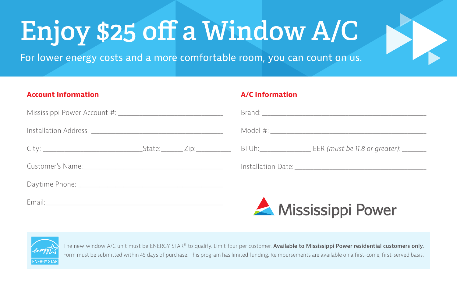## **Enjoy \$25 off a Window A/C**

For lower energy costs and a more comfortable room, you can count on us.

## **Account Information**

## **A/C Information**

E.

|  |  | Mississippi Power |
|--|--|-------------------|



The new window A/C unit must be ENERGY STAR® to qualify. Limit four per customer. **Available to Mississippi Power residential customers only.**  Form must be submitted within 45 days of purchase. This program has limited funding. Reimbursements are available on a first-come, first-served basis.